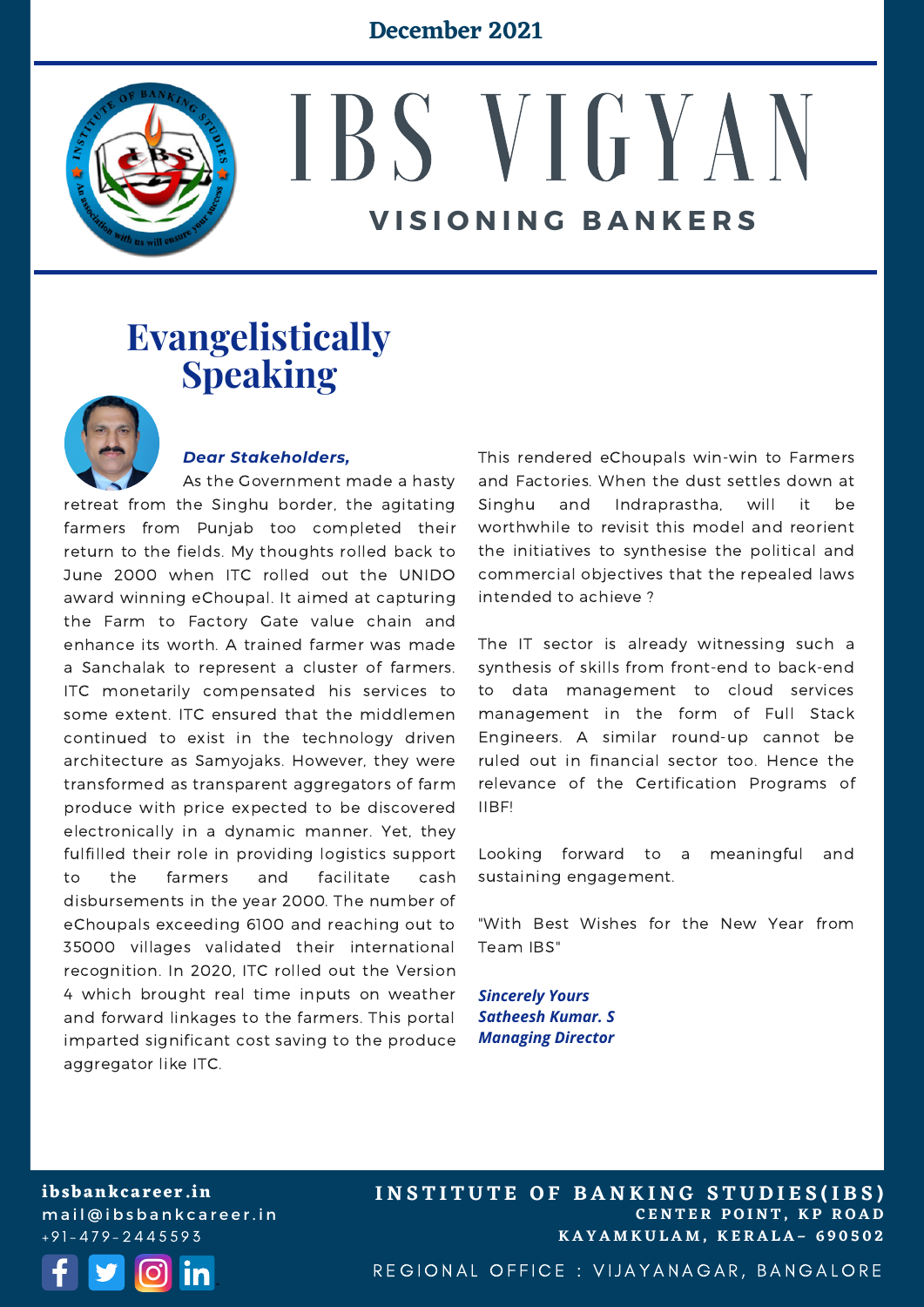#### **December 2021**



# IBS VIGYAN **V I S I O N I N G B A N K E R S**

### **Evangelistically Speaking**



#### *Dear Stakeholders,*

As the Government made a hasty retreat from the Singhu border, the agitating farmers from Punjab too completed their return to the fields. My thoughts rolled back to June 2000 when ITC rolled out the UNIDO award winning eChoupal. It aimed at capturing the Farm to Factory Gate value chain and enhance its worth. A trained farmer was made a Sanchalak to represent a cluster of farmers. ITC monetarily compensated his services to some extent. ITC ensured that the middlemen continued to exist in the technology driven architecture as Samyojaks. However, they were transformed as transparent aggregators of farm produce with price expected to be discovered electronically in a dynamic manner. Yet, they fulfilled their role in providing logistics support to the farmers and facilitate cash disbursements in the year 2000. The number of eChoupals exceeding 6100 and reaching out to 35000 villages validated their international recognition. In 2020, ITC rolled out the Version 4 which brought real time inputs on weather and forward linkages to the farmers. This portal imparted significant cost saving to the produce aggregator like ITC.

This rendered eChoupals win-win to Farmers and Factories. When the dust settles down at Singhu and Indraprastha, will it be worthwhile to revisit this model and reorient the initiatives to synthesise the political and commercial objectives that the repealed laws intended to achieve ?

The IT sector is already witnessing such a synthesis of skills from front-end to back-end to data management to cloud services management in the form of Full Stack Engineers. A similar round-up cannot be ruled out in financial sector too. Hence the relevance of the Certification Programs of IIBF!

Looking forward to a meaningful and sustaining engagement.

"With Best Wishes for the New Year from Team IBS"

*Sincerely Yours Satheesh Kumar. S Managing Director*

**ibsbankcareer.in** mail@ibsbankcareer.in + 9 1 - 4 7 9 - 2 4 4 5 5 9 3



**C E N T E R P O I N T , K P R O A D K A Y A M K U L A M , K E R A L A – 6 9 0 5 0 2 INSTITUTE OF BANKING STUDIES(IBS)** 

REGIONAL OFFICE : VIJAYANAGAR, BANGALORE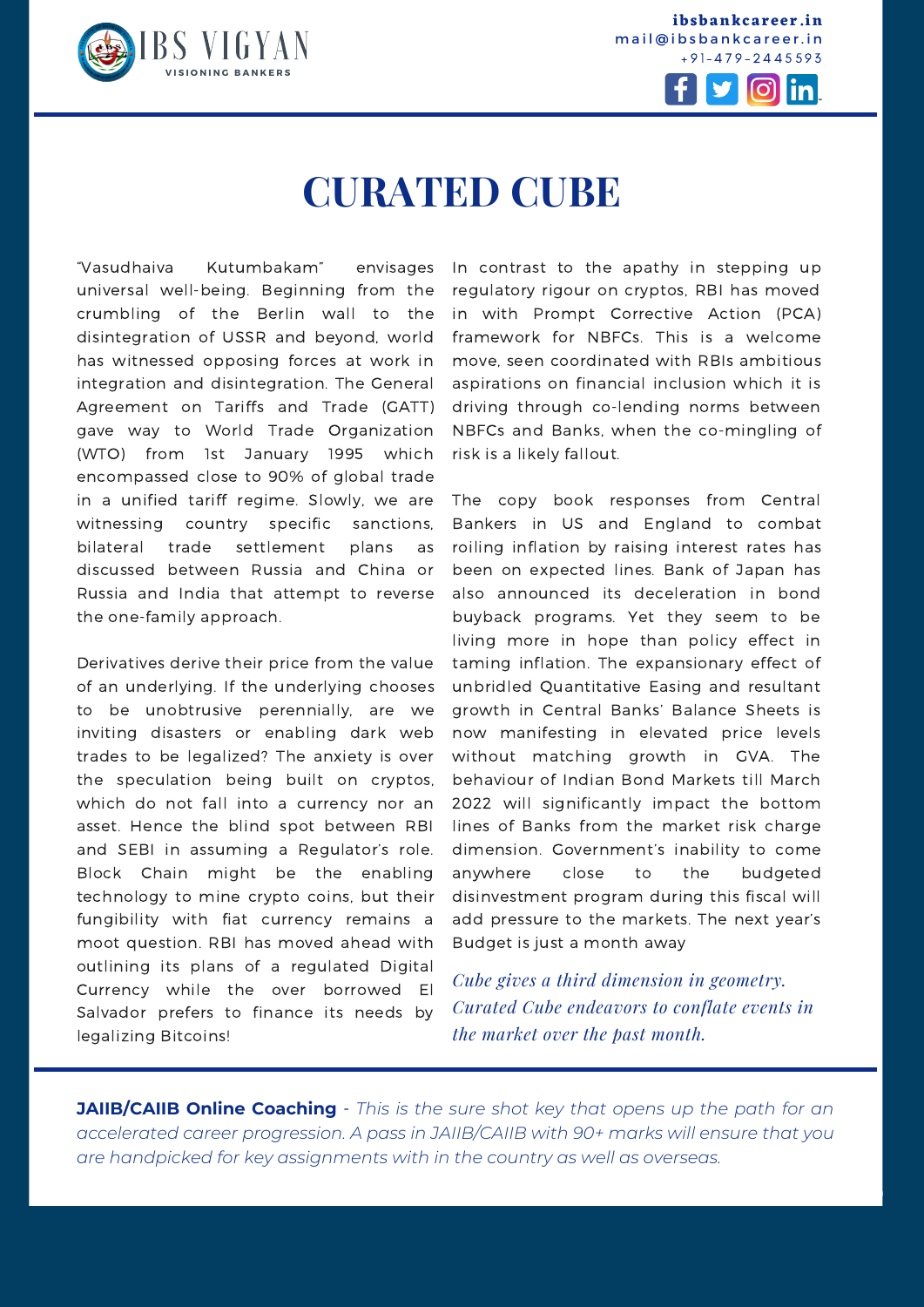

**ibsbankcareer.in** mail@ibsbankcareer.in  $+91 - 479 - 2445593$ 



# **CURATED CUBE**

"Vasudhaiva Kutumbakam" envisages universal well-being. Beginning from the crumbling of the Berlin wall to the disintegration of USSR and beyond, world has witnessed opposing forces at work in integration and disintegration. The General Agreement on Tariffs and Trade (GATT) gave way to World Trade Organization (WTO) from 1st January 1995 which encompassed close to 90% of global trade in a unified tariff regime. Slowly, we are witnessing country specific sanctions, bilateral trade settlement plans as discussed between Russia and China or Russia and India that attempt to reverse the one-family approach.

Derivatives derive their price from the value of an underlying. If the underlying chooses to be unobtrusive perennially, are we inviting disasters or enabling dark web trades to be legalized? The anxiety is over the speculation being built on cryptos, which do not fall into a currency nor an asset. Hence the blind spot between RBI and SEBI in assuming a Regulator's role. Block Chain might be the enabling technology to mine crypto coins, but their fungibility with fiat currency remains a moot question. RBI has moved ahead with outlining its plans of a regulated Digital Currency while the over borrowed El Salvador prefers to finance its needs by legalizing Bitcoins!

In contrast to the apathy in stepping up regulatory rigour on cryptos, RBI has moved in with Prompt Corrective Action (PCA) framework for NBFCs. This is a welcome move, seen coordinated with RBIs ambitious aspirations on financial inclusion which it is driving through co-lending norms between NBFCs and Banks, when the co-mingling of risk is a likely fallout.

The copy book responses from Central Bankers in US and England to combat roiling inflation by raising interest rates has been on expected lines. Bank of Japan has also announced its deceleration in bond buyback programs. Yet they seem to be living more in hope than policy effect in taming inflation. The expansionary effect of unbridled Quantitative Easing and resultant growth in Central Banks' Balance Sheets is now manifesting in elevated price levels without matching growth in GVA. The behaviour of Indian Bond Markets till March 2022 will significantly impact the bottom lines of Banks from the market risk charge dimension. Government's inability to come anywhere close to the budgeted disinvestment program during this fiscal will add pressure to the markets. The next year's Budget is just a month away

*Cube gives a third dimension in geometry. Curated Cube endeavors to conflate events in the market over the past month.*

**I N S T I T U T E O F B A N K I N G S T U D I E S (I B S )**

**JAIIB/CAIIB Online Coaching** - *This is the sure shot key that opens up the path for an accelerated career progression. A pass in [JAIIB/CAIIB](https://ibsbankcareer.in/course/) with 90+ marks will ensure that you are handpicked for key assignments with in the country as well as overseas.*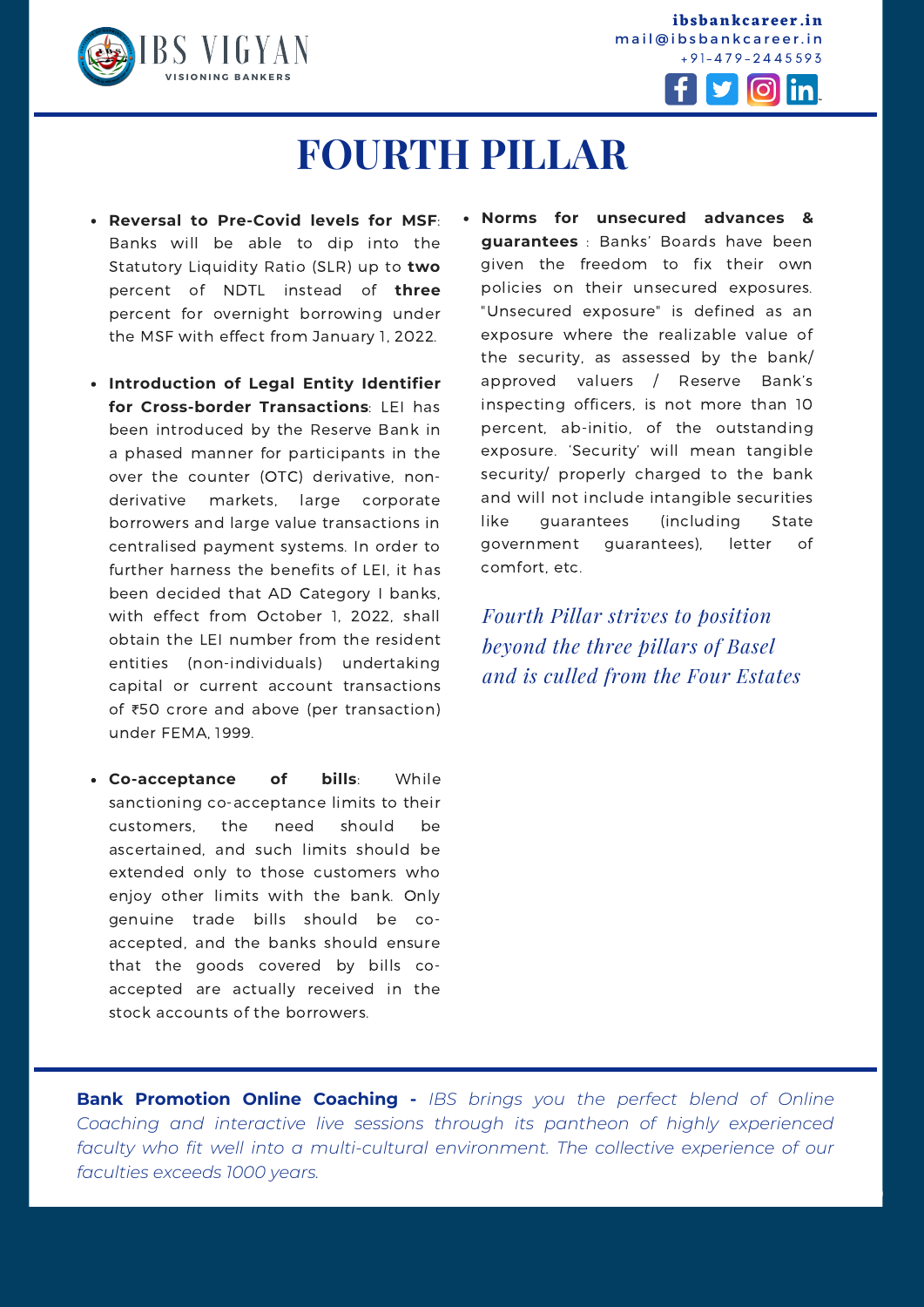

**ibsbankcareer.in** mail@ibsbankcareer.in + 9 1 - 4 7 9 - 2 4 4 5 5 9 3



# **FOURTH PILLAR**

- **Reversal to Pre-Covid levels for MSF**: Banks will be able to dip into the Statutory Liquidity Ratio (SLR) up to **two** percent of NDTL instead of **three** percent for overnight borrowing under the MSF with effect from January 1, 2022.
- **Introduction of Legal Entity Identifier for Cross-border Transactions**: LEI has been introduced by the Reserve Bank in a phased manner for participants in the over the counter (OTC) derivative, nonderivative markets, large corporate borrowers and large value transactions in centralised payment systems. In order to further harness the benefits of LEI, it has been decided that AD Category I banks, with effect from October 1, 2022, shall obtain the LEI number from the resident entities (non-individuals) undertaking capital or current account transactions of ₹50 crore and above (per transaction) under FEMA, 1999.
- **Co-acceptance of bills**: While sanctioning co-acceptance limits to their customers, the need should be ascertained, and such limits should be extended only to those customers who enjoy other limits with the bank. Only genuine trade bills should be coaccepted, and the banks should ensure that the goods covered by bills coaccepted are actually received in the stock accounts of the borrowers.

**Norms for unsecured advances & guarantees** : Banks' Boards have been given the freedom to fix their own policies on their unsecured exposures. "Unsecured exposure" is defined as an exposure where the realizable value of the security, as assessed by the bank/ approved valuers / Reserve Bank's inspecting officers, is not more than 10 percent, ab-initio, of the outstanding exposure. 'Security' will mean tangible security/ properly charged to the bank and will not include intangible securities like guarantees (including State government guarantees), letter of comfort, etc.

*Fourth Pillar strives to position beyond the three pillars of Basel and is culled from the Four Estates*

**I N S T I T U T E O F B A N K I N G S T U D I E S (I B S )**

**Bank Promotion Online Coaching -** *IBS brings you the perfect blend of Online Coaching and interactive live sessions through its pantheon of highly experienced faculty who fit well into a multi-cultural environment. The collective experience of our faculties exceeds 1000 years.*